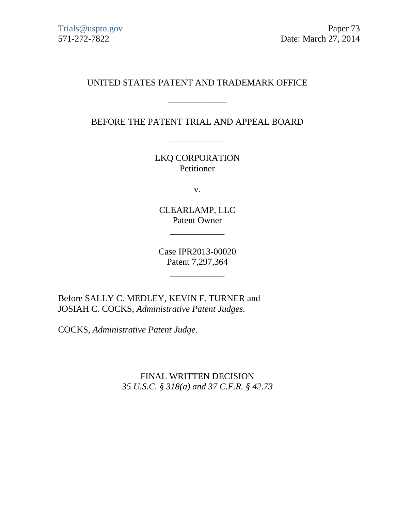# UNITED STATES PATENT AND TRADEMARK OFFICE

\_\_\_\_\_\_\_\_\_\_\_\_\_

BEFORE THE PATENT TRIAL AND APPEAL BOARD

\_\_\_\_\_\_\_\_\_\_\_\_

LKQ CORPORATION Petitioner

v.

CLEARLAMP, LLC Patent Owner

 $\overline{\phantom{a}}$  , we can also the contract of  $\overline{\phantom{a}}$ 

Case IPR2013-00020 Patent 7,297,364

 $\overline{\phantom{a}}$  , and the set of the set of the set of the set of the set of the set of the set of the set of the set of the set of the set of the set of the set of the set of the set of the set of the set of the set of the s

Before SALLY C. MEDLEY, KEVIN F. TURNER and JOSIAH C. COCKS, *Administrative Patent Judges.*

COCKS, *Administrative Patent Judge.*

FINAL WRITTEN DECISION *35 U.S.C. § 318(a) and 37 C.F.R. § 42.73*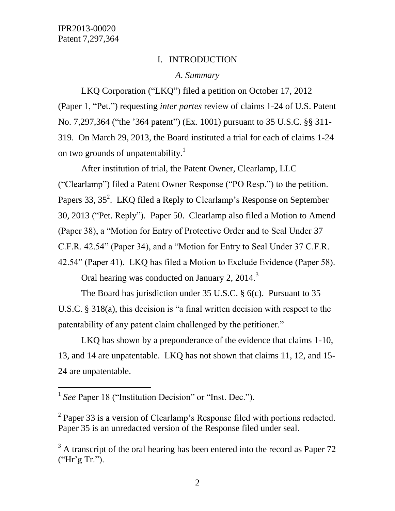### I. INTRODUCTION

#### *A. Summary*

LKQ Corporation ("LKQ") filed a petition on October 17, 2012 (Paper 1, "Pet.") requesting *inter partes* review of claims 1-24 of U.S. Patent No. 7,297,364 ("the "364 patent") (Ex. 1001) pursuant to 35 U.S.C. §§ 311- 319. On March 29, 2013, the Board instituted a trial for each of claims 1-24 on two grounds of unpatentability.<sup>1</sup>

After institution of trial, the Patent Owner, Clearlamp, LLC ("Clearlamp") filed a Patent Owner Response ("PO Resp.") to the petition. Papers 33,  $35^2$ . LKQ filed a Reply to Clearlamp's Response on September 30, 2013 ("Pet. Reply"). Paper 50. Clearlamp also filed a Motion to Amend (Paper 38), a "Motion for Entry of Protective Order and to Seal Under 37 C.F.R. 42.54" (Paper 34), and a "Motion for Entry to Seal Under 37 C.F.R. 42.54" (Paper 41). LKQ has filed a Motion to Exclude Evidence (Paper 58).

Oral hearing was conducted on January 2, 2014.<sup>3</sup>

The Board has jurisdiction under 35 U.S.C. § 6(c). Pursuant to 35 U.S.C. § 318(a), this decision is "a final written decision with respect to the patentability of any patent claim challenged by the petitioner."

LKQ has shown by a preponderance of the evidence that claims 1-10, 13, and 14 are unpatentable. LKQ has not shown that claims 11, 12, and 15- 24 are unpatentable.

l

<sup>&</sup>lt;sup>1</sup> See Paper 18 ("Institution Decision" or "Inst. Dec.").

 $2^2$  Paper 33 is a version of Clearlamp's Response filed with portions redacted. Paper 35 is an unredacted version of the Response filed under seal.

 $3$  A transcript of the oral hearing has been entered into the record as Paper 72 ("Hr"g Tr.").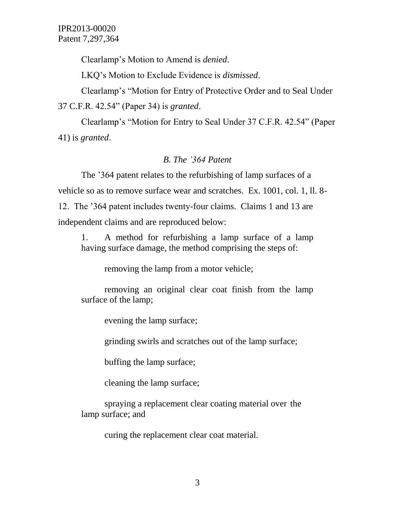Clearlamp"s Motion to Amend is *denied*.

LKQ"s Motion to Exclude Evidence is *dismissed*.

Clearlamp"s "Motion for Entry of Protective Order and to Seal Under 37 C.F.R. 42.54" (Paper 34) is *granted*.

Clearlamp"s "Motion for Entry to Seal Under 37 C.F.R. 42.54" (Paper 41) is *granted*.

### *B. The '364 Patent*

The "364 patent relates to the refurbishing of lamp surfaces of a vehicle so as to remove surface wear and scratches. Ex. 1001, col. 1, ll. 8- 12. The "364 patent includes twenty-four claims. Claims 1 and 13 are independent claims and are reproduced below:

1. A method for refurbishing a lamp surface of a lamp having surface damage, the method comprising the steps of:

removing the lamp from a motor vehicle;

removing an original clear coat finish from the lamp surface of the lamp;

evening the lamp surface;

grinding swirls and scratches out of the lamp surface;

buffing the lamp surface;

cleaning the lamp surface;

spraying a replacement clear coating material over the lamp surface; and

curing the replacement clear coat material.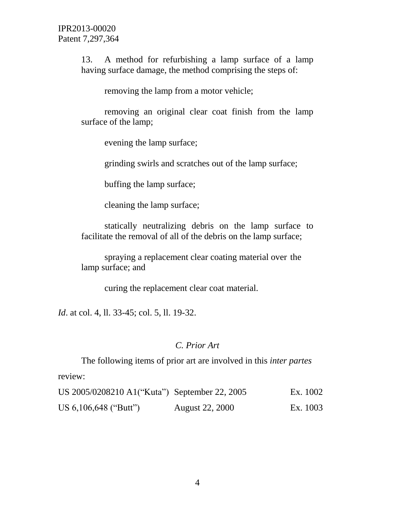13. A method for refurbishing a lamp surface of a lamp having surface damage, the method comprising the steps of:

removing the lamp from a motor vehicle;

removing an original clear coat finish from the lamp surface of the lamp;

evening the lamp surface;

grinding swirls and scratches out of the lamp surface;

buffing the lamp surface;

cleaning the lamp surface;

statically neutralizing debris on the lamp surface to facilitate the removal of all of the debris on the lamp surface;

spraying a replacement clear coating material over the lamp surface; and

curing the replacement clear coat material.

*Id*. at col. 4, ll. 33-45; col. 5, ll. 19-32.

### *C. Prior Art*

The following items of prior art are involved in this *inter partes* review:

| US 2005/0208210 A1("Kuta") September 22, 2005 |                        | Ex. 1002 |
|-----------------------------------------------|------------------------|----------|
| US 6,106,648 ("Butt")                         | <b>August 22, 2000</b> | Ex. 1003 |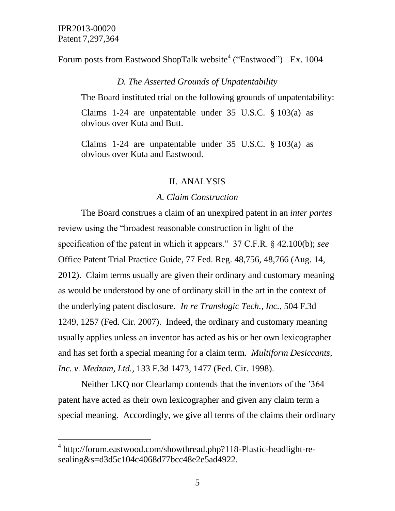$\overline{a}$ 

Forum posts from Eastwood ShopTalk website<sup>4</sup> ("Eastwood") Ex. 1004

#### *D. The Asserted Grounds of Unpatentability*

The Board instituted trial on the following grounds of unpatentability:

Claims 1-24 are unpatentable under 35 U.S.C. § 103(a) as obvious over Kuta and Butt.

Claims 1-24 are unpatentable under 35 U.S.C. § 103(a) as obvious over Kuta and Eastwood.

#### II. ANALYSIS

#### *A. Claim Construction*

The Board construes a claim of an unexpired patent in an *inter partes* review using the "broadest reasonable construction in light of the specification of the patent in which it appears." 37 C.F.R. § 42.100(b); *see* Office Patent Trial Practice Guide, 77 Fed. Reg. 48,756, 48,766 (Aug. 14, 2012). Claim terms usually are given their ordinary and customary meaning as would be understood by one of ordinary skill in the art in the context of the underlying patent disclosure. *In re Translogic Tech., Inc.*, 504 F.3d 1249, 1257 (Fed. Cir. 2007). Indeed, the ordinary and customary meaning usually applies unless an inventor has acted as his or her own lexicographer and has set forth a special meaning for a claim term. *Multiform Desiccants, Inc. v. Medzam, Ltd.*, 133 F.3d 1473, 1477 (Fed. Cir. 1998).

Neither LKQ nor Clearlamp contends that the inventors of the "364 patent have acted as their own lexicographer and given any claim term a special meaning. Accordingly, we give all terms of the claims their ordinary

<sup>&</sup>lt;sup>4</sup> http://forum.eastwood.com/showthread.php?118-Plastic-headlight-resealing&s=d3d5c104c4068d77bcc48e2e5ad4922.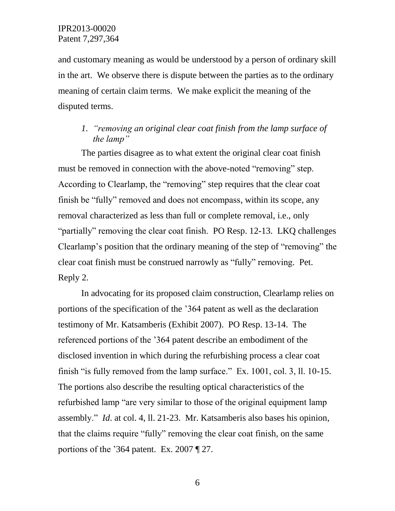and customary meaning as would be understood by a person of ordinary skill in the art. We observe there is dispute between the parties as to the ordinary meaning of certain claim terms. We make explicit the meaning of the disputed terms.

# *1. "removing an original clear coat finish from the lamp surface of the lamp"*

The parties disagree as to what extent the original clear coat finish must be removed in connection with the above-noted "removing" step. According to Clearlamp, the "removing" step requires that the clear coat finish be "fully" removed and does not encompass, within its scope, any removal characterized as less than full or complete removal, i.e., only "partially" removing the clear coat finish. PO Resp. 12-13. LKQ challenges Clearlamp"s position that the ordinary meaning of the step of "removing" the clear coat finish must be construed narrowly as "fully" removing. Pet. Reply 2.

In advocating for its proposed claim construction, Clearlamp relies on portions of the specification of the "364 patent as well as the declaration testimony of Mr. Katsamberis (Exhibit 2007). PO Resp. 13-14. The referenced portions of the "364 patent describe an embodiment of the disclosed invention in which during the refurbishing process a clear coat finish "is fully removed from the lamp surface." Ex. 1001, col. 3, ll. 10-15. The portions also describe the resulting optical characteristics of the refurbished lamp "are very similar to those of the original equipment lamp assembly." *Id*. at col. 4, ll. 21-23. Mr. Katsamberis also bases his opinion, that the claims require "fully" removing the clear coat finish, on the same portions of the "364 patent. Ex. 2007 ¶ 27.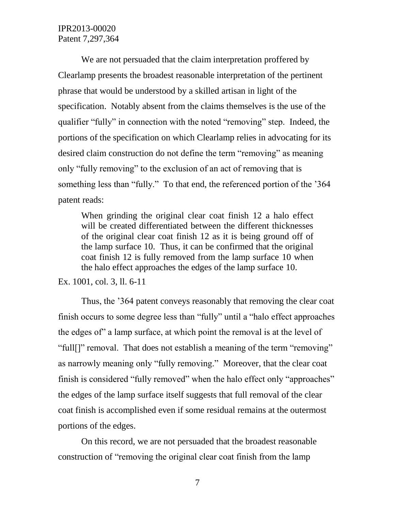We are not persuaded that the claim interpretation proffered by Clearlamp presents the broadest reasonable interpretation of the pertinent phrase that would be understood by a skilled artisan in light of the specification. Notably absent from the claims themselves is the use of the qualifier "fully" in connection with the noted "removing" step. Indeed, the portions of the specification on which Clearlamp relies in advocating for its desired claim construction do not define the term "removing" as meaning only "fully removing" to the exclusion of an act of removing that is something less than "fully." To that end, the referenced portion of the "364 patent reads:

When grinding the original clear coat finish 12 a halo effect will be created differentiated between the different thicknesses of the original clear coat finish 12 as it is being ground off of the lamp surface 10. Thus, it can be confirmed that the original coat finish 12 is fully removed from the lamp surface 10 when the halo effect approaches the edges of the lamp surface 10.

Ex. 1001, col. 3, ll. 6-11

Thus, the "364 patent conveys reasonably that removing the clear coat finish occurs to some degree less than "fully" until a "halo effect approaches the edges of" a lamp surface, at which point the removal is at the level of "full[]" removal. That does not establish a meaning of the term "removing" as narrowly meaning only "fully removing." Moreover, that the clear coat finish is considered "fully removed" when the halo effect only "approaches" the edges of the lamp surface itself suggests that full removal of the clear coat finish is accomplished even if some residual remains at the outermost portions of the edges.

On this record, we are not persuaded that the broadest reasonable construction of "removing the original clear coat finish from the lamp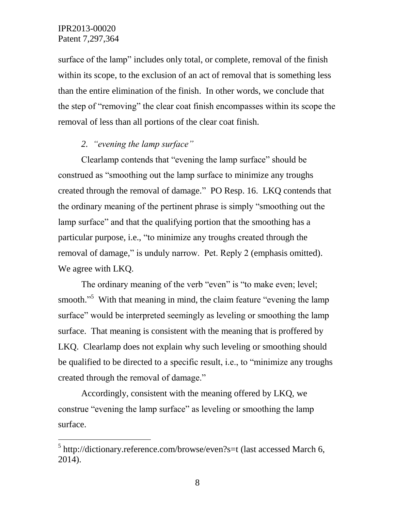$\overline{a}$ 

surface of the lamp" includes only total, or complete, removal of the finish within its scope, to the exclusion of an act of removal that is something less than the entire elimination of the finish. In other words, we conclude that the step of "removing" the clear coat finish encompasses within its scope the removal of less than all portions of the clear coat finish.

# *2. "evening the lamp surface"*

Clearlamp contends that "evening the lamp surface" should be construed as "smoothing out the lamp surface to minimize any troughs created through the removal of damage." PO Resp. 16. LKQ contends that the ordinary meaning of the pertinent phrase is simply "smoothing out the lamp surface" and that the qualifying portion that the smoothing has a particular purpose, i.e., "to minimize any troughs created through the removal of damage," is unduly narrow. Pet. Reply 2 (emphasis omitted). We agree with LKQ.

The ordinary meaning of the verb "even" is "to make even; level; smooth."<sup>5</sup> With that meaning in mind, the claim feature "evening the lamp surface" would be interpreted seemingly as leveling or smoothing the lamp surface. That meaning is consistent with the meaning that is proffered by LKQ. Clearlamp does not explain why such leveling or smoothing should be qualified to be directed to a specific result, i.e., to "minimize any troughs created through the removal of damage."

Accordingly, consistent with the meaning offered by LKQ, we construe "evening the lamp surface" as leveling or smoothing the lamp surface.

 $<sup>5</sup>$  http://dictionary.reference.com/browse/even?s=t (last accessed March 6,</sup> 2014).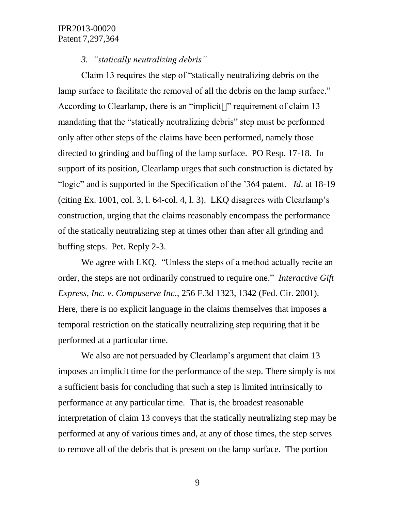*3. "statically neutralizing debris"*

Claim 13 requires the step of "statically neutralizing debris on the lamp surface to facilitate the removal of all the debris on the lamp surface." According to Clearlamp, there is an "implicit<sup>[]"</sup> requirement of claim 13 mandating that the "statically neutralizing debris" step must be performed only after other steps of the claims have been performed, namely those directed to grinding and buffing of the lamp surface. PO Resp. 17-18. In support of its position, Clearlamp urges that such construction is dictated by "logic" and is supported in the Specification of the "364 patent. *Id*. at 18-19 (citing Ex. 1001, col. 3, 1. 64-col. 4, 1. 3). LKQ disagrees with Clearlamp's construction, urging that the claims reasonably encompass the performance of the statically neutralizing step at times other than after all grinding and buffing steps. Pet. Reply 2-3.

We agree with LKQ. "Unless the steps of a method actually recite an order, the steps are not ordinarily construed to require one." *Interactive Gift Express, Inc. v. Compuserve Inc.*, 256 F.3d 1323, 1342 (Fed. Cir. 2001). Here, there is no explicit language in the claims themselves that imposes a temporal restriction on the statically neutralizing step requiring that it be performed at a particular time.

We also are not persuaded by Clearlamp's argument that claim 13 imposes an implicit time for the performance of the step. There simply is not a sufficient basis for concluding that such a step is limited intrinsically to performance at any particular time. That is, the broadest reasonable interpretation of claim 13 conveys that the statically neutralizing step may be performed at any of various times and, at any of those times, the step serves to remove all of the debris that is present on the lamp surface. The portion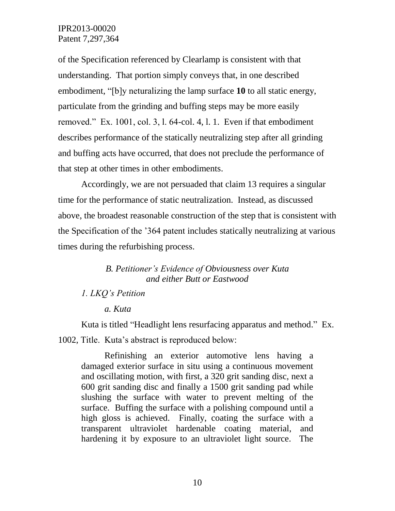of the Specification referenced by Clearlamp is consistent with that understanding. That portion simply conveys that, in one described embodiment, "[b]y neturalizing the lamp surface **10** to all static energy, particulate from the grinding and buffing steps may be more easily removed." Ex. 1001, col. 3, l. 64-col. 4, l. 1. Even if that embodiment describes performance of the statically neutralizing step after all grinding and buffing acts have occurred, that does not preclude the performance of that step at other times in other embodiments.

Accordingly, we are not persuaded that claim 13 requires a singular time for the performance of static neutralization. Instead, as discussed above, the broadest reasonable construction of the step that is consistent with the Specification of the "364 patent includes statically neutralizing at various times during the refurbishing process.

# *B. Petitioner's Evidence of Obviousness over Kuta and either Butt or Eastwood*

### *1. LKQ's Petition*

#### *a. Kuta*

Kuta is titled "Headlight lens resurfacing apparatus and method." Ex. 1002, Title. Kuta's abstract is reproduced below:

Refinishing an exterior automotive lens having a damaged exterior surface in situ using a continuous movement and oscillating motion, with first, a 320 grit sanding disc, next a 600 grit sanding disc and finally a 1500 grit sanding pad while slushing the surface with water to prevent melting of the surface. Buffing the surface with a polishing compound until a high gloss is achieved. Finally, coating the surface with a transparent ultraviolet hardenable coating material, and hardening it by exposure to an ultraviolet light source. The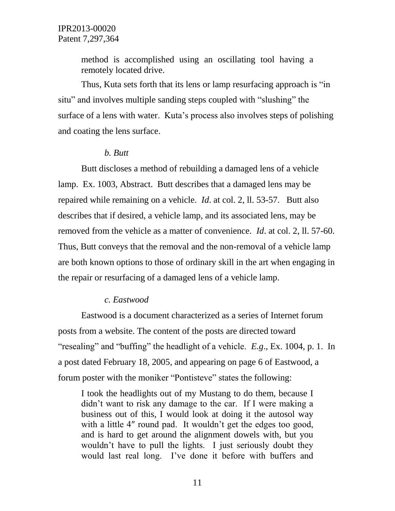method is accomplished using an oscillating tool having a remotely located drive.

Thus, Kuta sets forth that its lens or lamp resurfacing approach is "in situ" and involves multiple sanding steps coupled with "slushing" the surface of a lens with water. Kuta's process also involves steps of polishing and coating the lens surface.

#### *b. Butt*

Butt discloses a method of rebuilding a damaged lens of a vehicle lamp. Ex. 1003, Abstract. Butt describes that a damaged lens may be repaired while remaining on a vehicle. *Id*. at col. 2, ll. 53-57. Butt also describes that if desired, a vehicle lamp, and its associated lens, may be removed from the vehicle as a matter of convenience. *Id*. at col. 2, ll. 57-60. Thus, Butt conveys that the removal and the non-removal of a vehicle lamp are both known options to those of ordinary skill in the art when engaging in the repair or resurfacing of a damaged lens of a vehicle lamp.

#### *c. Eastwood*

Eastwood is a document characterized as a series of Internet forum posts from a website. The content of the posts are directed toward "resealing" and "buffing" the headlight of a vehicle. *E.g*., Ex. 1004, p. 1. In a post dated February 18, 2005, and appearing on page 6 of Eastwood, a forum poster with the moniker "Pontisteve" states the following:

I took the headlights out of my Mustang to do them, because I didn't want to risk any damage to the car. If I were making a business out of this, I would look at doing it the autosol way with a little 4" round pad. It wouldn't get the edges too good, and is hard to get around the alignment dowels with, but you wouldn"t have to pull the lights. I just seriously doubt they would last real long. I"ve done it before with buffers and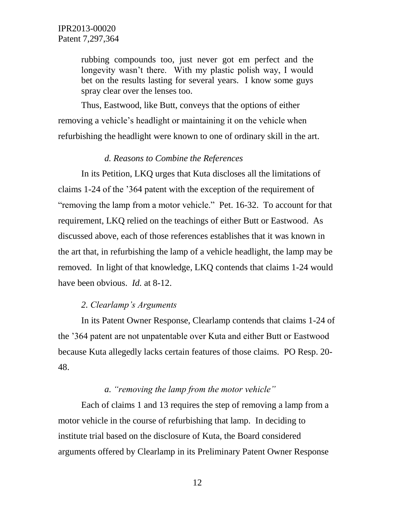rubbing compounds too, just never got em perfect and the longevity wasn't there. With my plastic polish way, I would bet on the results lasting for several years. I know some guys spray clear over the lenses too.

Thus, Eastwood, like Butt, conveys that the options of either removing a vehicle"s headlight or maintaining it on the vehicle when refurbishing the headlight were known to one of ordinary skill in the art.

#### *d. Reasons to Combine the References*

In its Petition, LKQ urges that Kuta discloses all the limitations of claims 1-24 of the "364 patent with the exception of the requirement of "removing the lamp from a motor vehicle." Pet. 16-32. To account for that requirement, LKQ relied on the teachings of either Butt or Eastwood. As discussed above, each of those references establishes that it was known in the art that, in refurbishing the lamp of a vehicle headlight, the lamp may be removed. In light of that knowledge, LKQ contends that claims 1-24 would have been obvious. *Id.* at 8-12.

#### *2. Clearlamp's Arguments*

In its Patent Owner Response, Clearlamp contends that claims 1-24 of the "364 patent are not unpatentable over Kuta and either Butt or Eastwood because Kuta allegedly lacks certain features of those claims. PO Resp. 20- 48.

## *a. "removing the lamp from the motor vehicle"*

Each of claims 1 and 13 requires the step of removing a lamp from a motor vehicle in the course of refurbishing that lamp. In deciding to institute trial based on the disclosure of Kuta, the Board considered arguments offered by Clearlamp in its Preliminary Patent Owner Response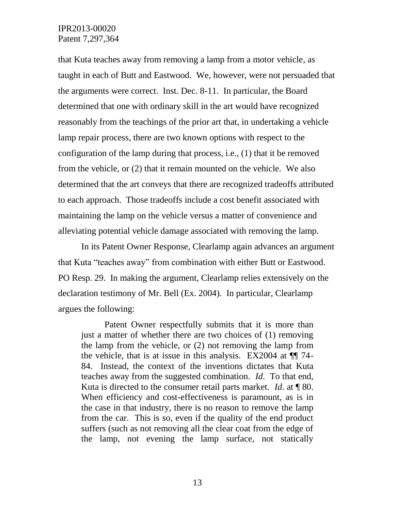that Kuta teaches away from removing a lamp from a motor vehicle, as taught in each of Butt and Eastwood. We, however, were not persuaded that the arguments were correct. Inst. Dec. 8-11. In particular, the Board determined that one with ordinary skill in the art would have recognized reasonably from the teachings of the prior art that, in undertaking a vehicle lamp repair process, there are two known options with respect to the configuration of the lamp during that process, i.e., (1) that it be removed from the vehicle, or (2) that it remain mounted on the vehicle. We also determined that the art conveys that there are recognized tradeoffs attributed to each approach. Those tradeoffs include a cost benefit associated with maintaining the lamp on the vehicle versus a matter of convenience and alleviating potential vehicle damage associated with removing the lamp.

In its Patent Owner Response, Clearlamp again advances an argument that Kuta "teaches away" from combination with either Butt or Eastwood. PO Resp. 29. In making the argument, Clearlamp relies extensively on the declaration testimony of Mr. Bell (Ex. 2004). In particular, Clearlamp argues the following:

Patent Owner respectfully submits that it is more than just a matter of whether there are two choices of (1) removing the lamp from the vehicle, or (2) not removing the lamp from the vehicle, that is at issue in this analysis. EX2004 at  $\P$  74-84. Instead, the context of the inventions dictates that Kuta teaches away from the suggested combination. *Id*. To that end, Kuta is directed to the consumer retail parts market. *Id*. at ¶ 80. When efficiency and cost-effectiveness is paramount, as is in the case in that industry, there is no reason to remove the lamp from the car. This is so, even if the quality of the end product suffers (such as not removing all the clear coat from the edge of the lamp, not evening the lamp surface, not statically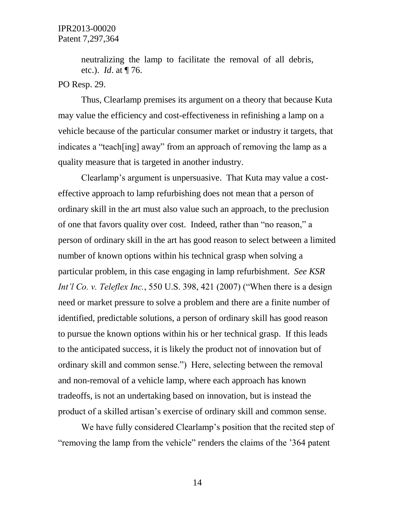neutralizing the lamp to facilitate the removal of all debris, etc.). *Id*. at ¶ 76.

#### PO Resp. 29.

Thus, Clearlamp premises its argument on a theory that because Kuta may value the efficiency and cost-effectiveness in refinishing a lamp on a vehicle because of the particular consumer market or industry it targets, that indicates a "teach[ing] away" from an approach of removing the lamp as a quality measure that is targeted in another industry.

Clearlamp"s argument is unpersuasive. That Kuta may value a costeffective approach to lamp refurbishing does not mean that a person of ordinary skill in the art must also value such an approach, to the preclusion of one that favors quality over cost. Indeed, rather than "no reason," a person of ordinary skill in the art has good reason to select between a limited number of known options within his technical grasp when solving a particular problem, in this case engaging in lamp refurbishment. *See KSR Int'l Co. v. Teleflex Inc.*, 550 U.S. 398, 421 (2007) ("When there is a design need or market pressure to solve a problem and there are a finite number of identified, predictable solutions, a person of ordinary skill has good reason to pursue the known options within his or her technical grasp. If this leads to the anticipated success, it is likely the product not of innovation but of ordinary skill and common sense.") Here, selecting between the removal and non-removal of a vehicle lamp, where each approach has known tradeoffs, is not an undertaking based on innovation, but is instead the product of a skilled artisan"s exercise of ordinary skill and common sense.

We have fully considered Clearlamp's position that the recited step of "removing the lamp from the vehicle" renders the claims of the "364 patent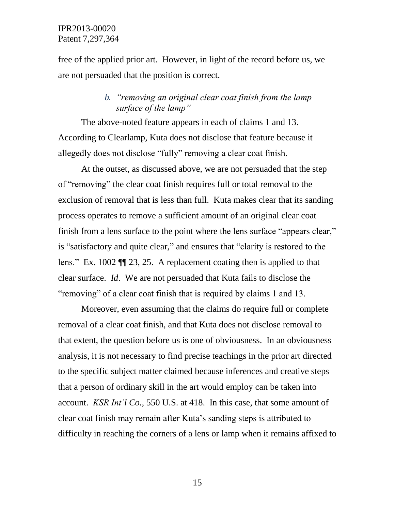free of the applied prior art. However, in light of the record before us, we are not persuaded that the position is correct.

# *b. "removing an original clear coat finish from the lamp surface of the lamp"*

The above-noted feature appears in each of claims 1 and 13. According to Clearlamp, Kuta does not disclose that feature because it allegedly does not disclose "fully" removing a clear coat finish.

At the outset, as discussed above, we are not persuaded that the step of "removing" the clear coat finish requires full or total removal to the exclusion of removal that is less than full. Kuta makes clear that its sanding process operates to remove a sufficient amount of an original clear coat finish from a lens surface to the point where the lens surface "appears clear," is "satisfactory and quite clear," and ensures that "clarity is restored to the lens." Ex. 1002 ¶¶ 23, 25. A replacement coating then is applied to that clear surface. *Id*. We are not persuaded that Kuta fails to disclose the "removing" of a clear coat finish that is required by claims 1 and 13.

Moreover, even assuming that the claims do require full or complete removal of a clear coat finish, and that Kuta does not disclose removal to that extent, the question before us is one of obviousness. In an obviousness analysis, it is not necessary to find precise teachings in the prior art directed to the specific subject matter claimed because inferences and creative steps that a person of ordinary skill in the art would employ can be taken into account. *KSR Int'l Co.,* 550 U.S. at 418. In this case, that some amount of clear coat finish may remain after Kuta"s sanding steps is attributed to difficulty in reaching the corners of a lens or lamp when it remains affixed to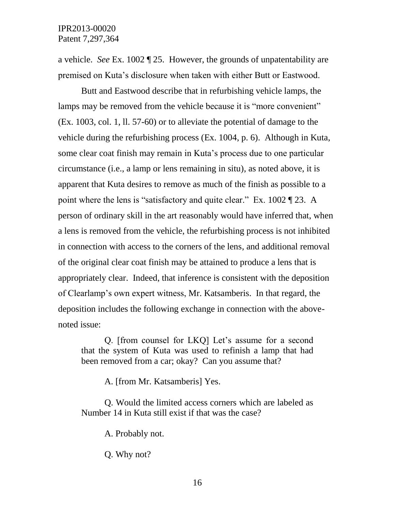a vehicle. *See* Ex. 1002 ¶ 25. However, the grounds of unpatentability are premised on Kuta"s disclosure when taken with either Butt or Eastwood.

Butt and Eastwood describe that in refurbishing vehicle lamps, the lamps may be removed from the vehicle because it is "more convenient" (Ex. 1003, col. 1, ll. 57-60) or to alleviate the potential of damage to the vehicle during the refurbishing process (Ex. 1004, p. 6). Although in Kuta, some clear coat finish may remain in Kuta"s process due to one particular circumstance (i.e., a lamp or lens remaining in situ), as noted above, it is apparent that Kuta desires to remove as much of the finish as possible to a point where the lens is "satisfactory and quite clear." Ex. 1002 ¶ 23. A person of ordinary skill in the art reasonably would have inferred that, when a lens is removed from the vehicle, the refurbishing process is not inhibited in connection with access to the corners of the lens, and additional removal of the original clear coat finish may be attained to produce a lens that is appropriately clear. Indeed, that inference is consistent with the deposition of Clearlamp"s own expert witness, Mr. Katsamberis. In that regard, the deposition includes the following exchange in connection with the abovenoted issue:

Q. [from counsel for LKQ] Let"s assume for a second that the system of Kuta was used to refinish a lamp that had been removed from a car; okay? Can you assume that?

A. [from Mr. Katsamberis] Yes.

Q. Would the limited access corners which are labeled as Number 14 in Kuta still exist if that was the case?

A. Probably not.

Q. Why not?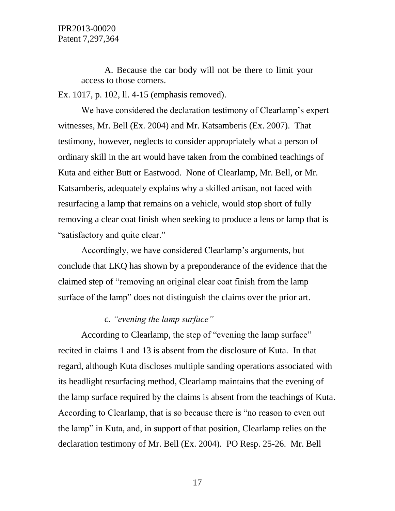A. Because the car body will not be there to limit your access to those corners.

Ex. 1017, p. 102, ll. 4-15 (emphasis removed).

We have considered the declaration testimony of Clearlamp's expert witnesses, Mr. Bell (Ex. 2004) and Mr. Katsamberis (Ex. 2007). That testimony, however, neglects to consider appropriately what a person of ordinary skill in the art would have taken from the combined teachings of Kuta and either Butt or Eastwood. None of Clearlamp, Mr. Bell, or Mr. Katsamberis, adequately explains why a skilled artisan, not faced with resurfacing a lamp that remains on a vehicle, would stop short of fully removing a clear coat finish when seeking to produce a lens or lamp that is "satisfactory and quite clear."

Accordingly, we have considered Clearlamp's arguments, but conclude that LKQ has shown by a preponderance of the evidence that the claimed step of "removing an original clear coat finish from the lamp surface of the lamp" does not distinguish the claims over the prior art.

# *c. "evening the lamp surface"*

According to Clearlamp, the step of "evening the lamp surface" recited in claims 1 and 13 is absent from the disclosure of Kuta. In that regard, although Kuta discloses multiple sanding operations associated with its headlight resurfacing method, Clearlamp maintains that the evening of the lamp surface required by the claims is absent from the teachings of Kuta. According to Clearlamp, that is so because there is "no reason to even out the lamp" in Kuta, and, in support of that position, Clearlamp relies on the declaration testimony of Mr. Bell (Ex. 2004). PO Resp. 25-26. Mr. Bell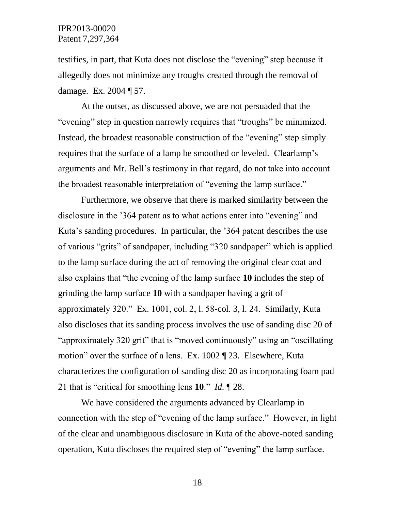testifies, in part, that Kuta does not disclose the "evening" step because it allegedly does not minimize any troughs created through the removal of damage. Ex. 2004 ¶ 57.

At the outset, as discussed above, we are not persuaded that the "evening" step in question narrowly requires that "troughs" be minimized. Instead, the broadest reasonable construction of the "evening" step simply requires that the surface of a lamp be smoothed or leveled. Clearlamp"s arguments and Mr. Bell"s testimony in that regard, do not take into account the broadest reasonable interpretation of "evening the lamp surface."

Furthermore, we observe that there is marked similarity between the disclosure in the "364 patent as to what actions enter into "evening" and Kuta's sanding procedures. In particular, the '364 patent describes the use of various "grits" of sandpaper, including "320 sandpaper" which is applied to the lamp surface during the act of removing the original clear coat and also explains that "the evening of the lamp surface **10** includes the step of grinding the lamp surface **10** with a sandpaper having a grit of approximately 320." Ex. 1001, col. 2, l. 58-col. 3, l. 24. Similarly, Kuta also discloses that its sanding process involves the use of sanding disc 20 of "approximately 320 grit" that is "moved continuously" using an "oscillating motion" over the surface of a lens. Ex. 1002 ¶ 23. Elsewhere, Kuta characterizes the configuration of sanding disc 20 as incorporating foam pad 21 that is "critical for smoothing lens **10**." *Id.* ¶ 28.

We have considered the arguments advanced by Clearlamp in connection with the step of "evening of the lamp surface." However, in light of the clear and unambiguous disclosure in Kuta of the above-noted sanding operation, Kuta discloses the required step of "evening" the lamp surface.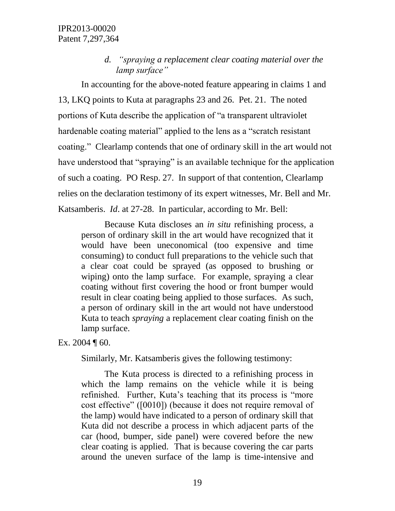# *d. "spraying a replacement clear coating material over the lamp surface"*

In accounting for the above-noted feature appearing in claims 1 and 13, LKQ points to Kuta at paragraphs 23 and 26. Pet. 21. The noted portions of Kuta describe the application of "a transparent ultraviolet hardenable coating material" applied to the lens as a "scratch resistant coating." Clearlamp contends that one of ordinary skill in the art would not have understood that "spraying" is an available technique for the application of such a coating. PO Resp. 27. In support of that contention, Clearlamp relies on the declaration testimony of its expert witnesses, Mr. Bell and Mr. Katsamberis. *Id*. at 27-28. In particular, according to Mr. Bell:

Because Kuta discloses an *in situ* refinishing process, a person of ordinary skill in the art would have recognized that it would have been uneconomical (too expensive and time consuming) to conduct full preparations to the vehicle such that a clear coat could be sprayed (as opposed to brushing or wiping) onto the lamp surface. For example, spraying a clear coating without first covering the hood or front bumper would result in clear coating being applied to those surfaces. As such, a person of ordinary skill in the art would not have understood Kuta to teach *spraying* a replacement clear coating finish on the lamp surface.

Ex. 2004  $\P$  60.

Similarly, Mr. Katsamberis gives the following testimony:

The Kuta process is directed to a refinishing process in which the lamp remains on the vehicle while it is being refinished. Further, Kuta's teaching that its process is "more" cost effective" ([0010]) (because it does not require removal of the lamp) would have indicated to a person of ordinary skill that Kuta did not describe a process in which adjacent parts of the car (hood, bumper, side panel) were covered before the new clear coating is applied. That is because covering the car parts around the uneven surface of the lamp is time-intensive and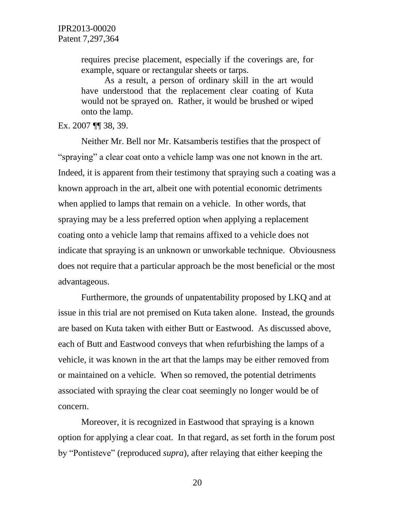requires precise placement, especially if the coverings are, for example, square or rectangular sheets or tarps.

As a result, a person of ordinary skill in the art would have understood that the replacement clear coating of Kuta would not be sprayed on. Rather, it would be brushed or wiped onto the lamp.

Ex. 2007 ¶¶ 38, 39.

Neither Mr. Bell nor Mr. Katsamberis testifies that the prospect of "spraying" a clear coat onto a vehicle lamp was one not known in the art. Indeed, it is apparent from their testimony that spraying such a coating was a known approach in the art, albeit one with potential economic detriments when applied to lamps that remain on a vehicle. In other words, that spraying may be a less preferred option when applying a replacement coating onto a vehicle lamp that remains affixed to a vehicle does not indicate that spraying is an unknown or unworkable technique. Obviousness does not require that a particular approach be the most beneficial or the most advantageous.

Furthermore, the grounds of unpatentability proposed by LKQ and at issue in this trial are not premised on Kuta taken alone. Instead, the grounds are based on Kuta taken with either Butt or Eastwood. As discussed above, each of Butt and Eastwood conveys that when refurbishing the lamps of a vehicle, it was known in the art that the lamps may be either removed from or maintained on a vehicle. When so removed, the potential detriments associated with spraying the clear coat seemingly no longer would be of concern.

Moreover, it is recognized in Eastwood that spraying is a known option for applying a clear coat. In that regard, as set forth in the forum post by "Pontisteve" (reproduced *supra*), after relaying that either keeping the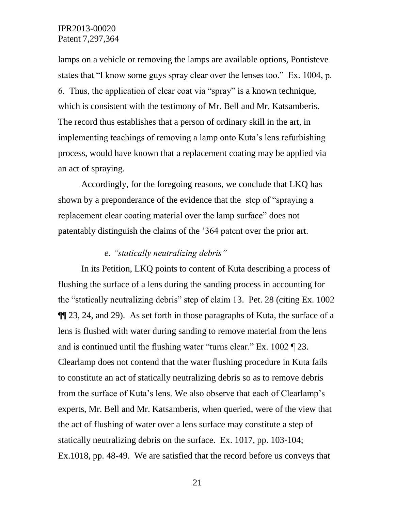lamps on a vehicle or removing the lamps are available options, Pontisteve states that "I know some guys spray clear over the lenses too." Ex. 1004, p. 6. Thus, the application of clear coat via "spray" is a known technique, which is consistent with the testimony of Mr. Bell and Mr. Katsamberis. The record thus establishes that a person of ordinary skill in the art, in implementing teachings of removing a lamp onto Kuta's lens refurbishing process, would have known that a replacement coating may be applied via an act of spraying.

Accordingly, for the foregoing reasons, we conclude that LKQ has shown by a preponderance of the evidence that the step of "spraying a replacement clear coating material over the lamp surface" does not patentably distinguish the claims of the "364 patent over the prior art.

# *e. "statically neutralizing debris"*

In its Petition, LKQ points to content of Kuta describing a process of flushing the surface of a lens during the sanding process in accounting for the "statically neutralizing debris" step of claim 13. Pet. 28 (citing Ex. 1002 ¶¶ 23, 24, and 29). As set forth in those paragraphs of Kuta, the surface of a lens is flushed with water during sanding to remove material from the lens and is continued until the flushing water "turns clear." Ex. 1002 ¶ 23. Clearlamp does not contend that the water flushing procedure in Kuta fails to constitute an act of statically neutralizing debris so as to remove debris from the surface of Kuta's lens. We also observe that each of Clearlamp's experts, Mr. Bell and Mr. Katsamberis, when queried, were of the view that the act of flushing of water over a lens surface may constitute a step of statically neutralizing debris on the surface. Ex. 1017, pp. 103-104; Ex.1018, pp. 48-49. We are satisfied that the record before us conveys that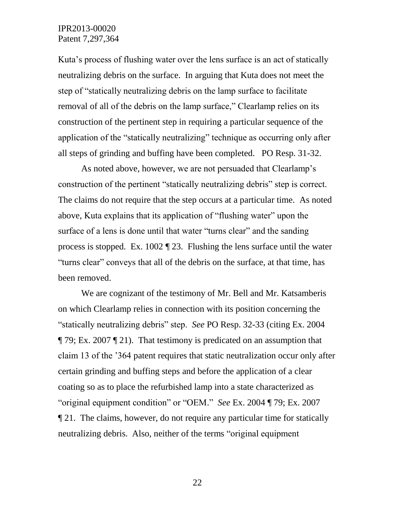Kuta's process of flushing water over the lens surface is an act of statically neutralizing debris on the surface. In arguing that Kuta does not meet the step of "statically neutralizing debris on the lamp surface to facilitate removal of all of the debris on the lamp surface," Clearlamp relies on its construction of the pertinent step in requiring a particular sequence of the application of the "statically neutralizing" technique as occurring only after all steps of grinding and buffing have been completed. PO Resp. 31-32.

As noted above, however, we are not persuaded that Clearlamp's construction of the pertinent "statically neutralizing debris" step is correct. The claims do not require that the step occurs at a particular time. As noted above, Kuta explains that its application of "flushing water" upon the surface of a lens is done until that water "turns clear" and the sanding process is stopped. Ex. 1002 ¶ 23. Flushing the lens surface until the water "turns clear" conveys that all of the debris on the surface, at that time, has been removed.

We are cognizant of the testimony of Mr. Bell and Mr. Katsamberis on which Clearlamp relies in connection with its position concerning the "statically neutralizing debris" step. *See* PO Resp. 32-33 (citing Ex. 2004 ¶ 79; Ex. 2007 ¶ 21). That testimony is predicated on an assumption that claim 13 of the "364 patent requires that static neutralization occur only after certain grinding and buffing steps and before the application of a clear coating so as to place the refurbished lamp into a state characterized as "original equipment condition" or "OEM." *See* Ex. 2004 ¶ 79; Ex. 2007 ¶ 21. The claims, however, do not require any particular time for statically neutralizing debris. Also, neither of the terms "original equipment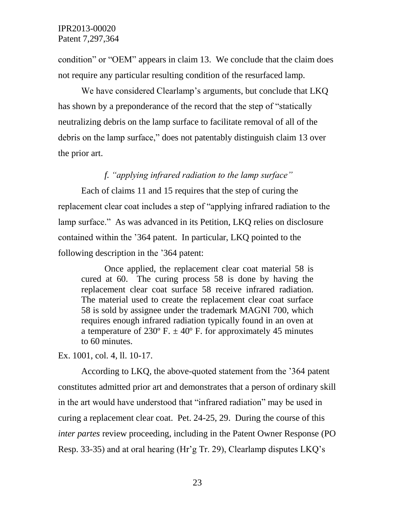condition" or "OEM" appears in claim 13. We conclude that the claim does not require any particular resulting condition of the resurfaced lamp.

We have considered Clearlamp's arguments, but conclude that LKQ has shown by a preponderance of the record that the step of "statically neutralizing debris on the lamp surface to facilitate removal of all of the debris on the lamp surface," does not patentably distinguish claim 13 over the prior art.

# *f. "applying infrared radiation to the lamp surface"*

Each of claims 11 and 15 requires that the step of curing the replacement clear coat includes a step of "applying infrared radiation to the lamp surface." As was advanced in its Petition, LKQ relies on disclosure contained within the "364 patent. In particular, LKQ pointed to the following description in the "364 patent:

Once applied, the replacement clear coat material 58 is cured at 60. The curing process 58 is done by having the replacement clear coat surface 58 receive infrared radiation. The material used to create the replacement clear coat surface 58 is sold by assignee under the trademark MAGNI 700, which requires enough infrared radiation typically found in an oven at a temperature of 230 $\degree$  F.  $\pm$  40 $\degree$  F. for approximately 45 minutes to 60 minutes.

Ex. 1001, col. 4, ll. 10-17.

According to LKQ, the above-quoted statement from the "364 patent constitutes admitted prior art and demonstrates that a person of ordinary skill in the art would have understood that "infrared radiation" may be used in curing a replacement clear coat. Pet. 24-25, 29. During the course of this *inter partes* review proceeding, including in the Patent Owner Response (PO Resp. 33-35) and at oral hearing (Hr'g Tr. 29), Clearlamp disputes LKQ's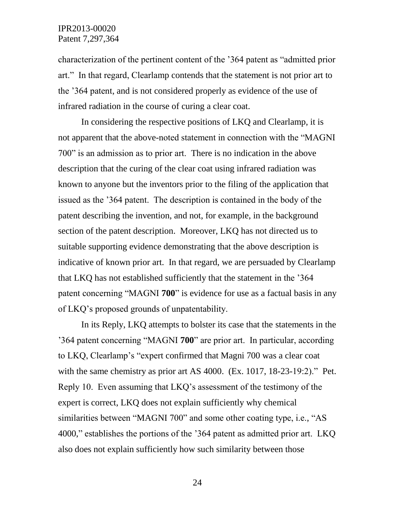characterization of the pertinent content of the "364 patent as "admitted prior art." In that regard, Clearlamp contends that the statement is not prior art to the "364 patent, and is not considered properly as evidence of the use of infrared radiation in the course of curing a clear coat.

In considering the respective positions of LKQ and Clearlamp, it is not apparent that the above-noted statement in connection with the "MAGNI 700" is an admission as to prior art. There is no indication in the above description that the curing of the clear coat using infrared radiation was known to anyone but the inventors prior to the filing of the application that issued as the "364 patent. The description is contained in the body of the patent describing the invention, and not, for example, in the background section of the patent description. Moreover, LKQ has not directed us to suitable supporting evidence demonstrating that the above description is indicative of known prior art. In that regard, we are persuaded by Clearlamp that LKQ has not established sufficiently that the statement in the "364 patent concerning "MAGNI **700**" is evidence for use as a factual basis in any of LKQ"s proposed grounds of unpatentability.

In its Reply, LKQ attempts to bolster its case that the statements in the "364 patent concerning "MAGNI **700**" are prior art. In particular, according to LKQ, Clearlamp"s "expert confirmed that Magni 700 was a clear coat with the same chemistry as prior art AS 4000. (Ex. 1017, 18-23-19:2)." Pet. Reply 10. Even assuming that LKQ"s assessment of the testimony of the expert is correct, LKQ does not explain sufficiently why chemical similarities between "MAGNI 700" and some other coating type, i.e., "AS 4000," establishes the portions of the "364 patent as admitted prior art. LKQ also does not explain sufficiently how such similarity between those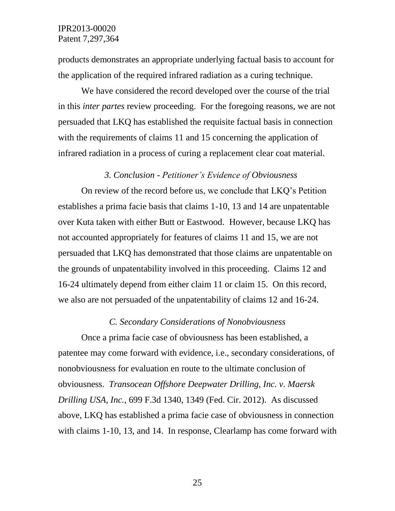products demonstrates an appropriate underlying factual basis to account for the application of the required infrared radiation as a curing technique.

We have considered the record developed over the course of the trial in this *inter partes* review proceeding. For the foregoing reasons, we are not persuaded that LKQ has established the requisite factual basis in connection with the requirements of claims 11 and 15 concerning the application of infrared radiation in a process of curing a replacement clear coat material.

#### *3. Conclusion - Petitioner's Evidence of Obviousness*

On review of the record before us, we conclude that LKQ"s Petition establishes a prima facie basis that claims 1-10, 13 and 14 are unpatentable over Kuta taken with either Butt or Eastwood. However, because LKQ has not accounted appropriately for features of claims 11 and 15, we are not persuaded that LKQ has demonstrated that those claims are unpatentable on the grounds of unpatentability involved in this proceeding. Claims 12 and 16-24 ultimately depend from either claim 11 or claim 15. On this record, we also are not persuaded of the unpatentability of claims 12 and 16-24.

#### *C. Secondary Considerations of Nonobviousness*

Once a prima facie case of obviousness has been established, a patentee may come forward with evidence, i.e., secondary considerations, of nonobviousness for evaluation en route to the ultimate conclusion of obviousness. *Transocean Offshore Deepwater Drilling, Inc. v. Maersk Drilling USA, Inc.*, 699 F.3d 1340, 1349 (Fed. Cir. 2012). As discussed above, LKQ has established a prima facie case of obviousness in connection with claims 1-10, 13, and 14. In response, Clearlamp has come forward with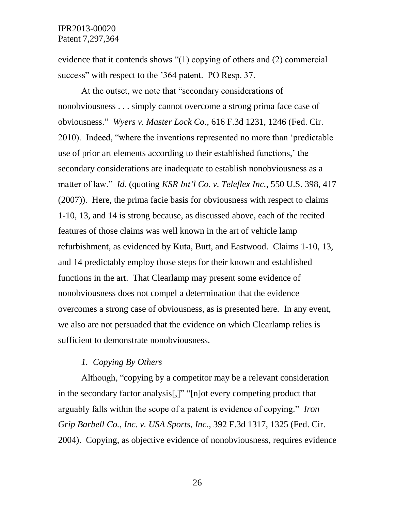evidence that it contends shows "(1) copying of others and (2) commercial success" with respect to the '364 patent. PO Resp. 37.

At the outset, we note that "secondary considerations of nonobviousness . . . simply cannot overcome a strong prima face case of obviousness." *Wyers v. Master Lock Co.*, 616 F.3d 1231, 1246 (Fed. Cir. 2010). Indeed, "where the inventions represented no more than "predictable use of prior art elements according to their established functions," the secondary considerations are inadequate to establish nonobviousness as a matter of law." *Id*. (quoting *KSR Int'l Co. v. Teleflex Inc.,* 550 U.S. 398, 417 (2007)). Here, the prima facie basis for obviousness with respect to claims 1-10, 13, and 14 is strong because, as discussed above, each of the recited features of those claims was well known in the art of vehicle lamp refurbishment, as evidenced by Kuta, Butt, and Eastwood. Claims 1-10, 13, and 14 predictably employ those steps for their known and established functions in the art. That Clearlamp may present some evidence of nonobviousness does not compel a determination that the evidence overcomes a strong case of obviousness, as is presented here. In any event, we also are not persuaded that the evidence on which Clearlamp relies is sufficient to demonstrate nonobviousness.

#### *1. Copying By Others*

Although, "copying by a competitor may be a relevant consideration in the secondary factor analysis[,]" "[n]ot every competing product that arguably falls within the scope of a patent is evidence of copying." *Iron Grip Barbell Co., Inc. v. USA Sports, Inc.*, 392 F.3d 1317, 1325 (Fed. Cir. 2004). Copying, as objective evidence of nonobviousness, requires evidence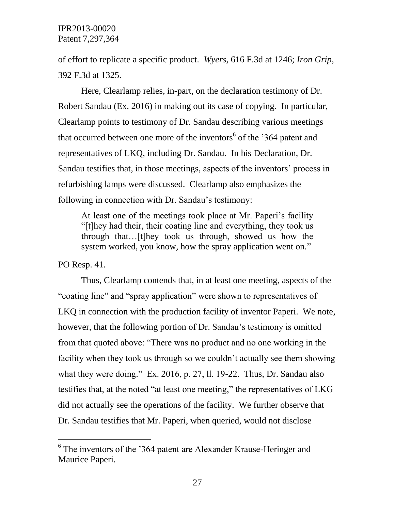of effort to replicate a specific product. *Wyers,* 616 F.3d at 1246; *Iron Grip*, 392 F.3d at 1325.

Here, Clearlamp relies, in-part, on the declaration testimony of Dr. Robert Sandau (Ex. 2016) in making out its case of copying. In particular, Clearlamp points to testimony of Dr. Sandau describing various meetings that occurred between one more of the inventors<sup>6</sup> of the '364 patent and representatives of LKQ, including Dr. Sandau. In his Declaration, Dr. Sandau testifies that, in those meetings, aspects of the inventors' process in refurbishing lamps were discussed. Clearlamp also emphasizes the following in connection with Dr. Sandau's testimony:

At least one of the meetings took place at Mr. Paperi's facility "[t]hey had their, their coating line and everything, they took us through that…[t]hey took us through, showed us how the system worked, you know, how the spray application went on."

PO Resp. 41.

 $\overline{a}$ 

Thus, Clearlamp contends that, in at least one meeting, aspects of the "coating line" and "spray application" were shown to representatives of LKQ in connection with the production facility of inventor Paperi. We note, however, that the following portion of Dr. Sandau's testimony is omitted from that quoted above: "There was no product and no one working in the facility when they took us through so we couldn"t actually see them showing what they were doing." Ex. 2016, p. 27, ll. 19-22. Thus, Dr. Sandau also testifies that, at the noted "at least one meeting," the representatives of LKG did not actually see the operations of the facility. We further observe that Dr. Sandau testifies that Mr. Paperi, when queried, would not disclose

<sup>&</sup>lt;sup>6</sup> The inventors of the '364 patent are Alexander Krause-Heringer and Maurice Paperi.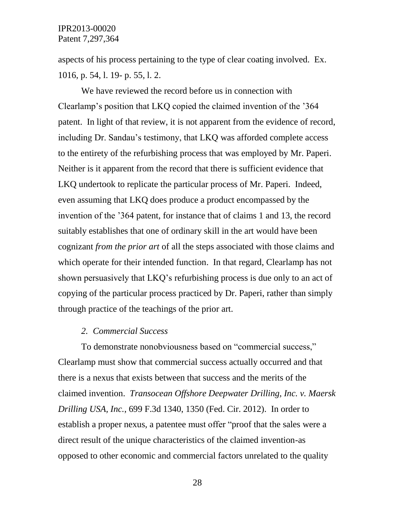aspects of his process pertaining to the type of clear coating involved. Ex. 1016, p. 54, l. 19- p. 55, l. 2.

We have reviewed the record before us in connection with Clearlamp"s position that LKQ copied the claimed invention of the "364 patent. In light of that review, it is not apparent from the evidence of record, including Dr. Sandau's testimony, that LKQ was afforded complete access to the entirety of the refurbishing process that was employed by Mr. Paperi. Neither is it apparent from the record that there is sufficient evidence that LKQ undertook to replicate the particular process of Mr. Paperi. Indeed, even assuming that LKQ does produce a product encompassed by the invention of the "364 patent, for instance that of claims 1 and 13, the record suitably establishes that one of ordinary skill in the art would have been cognizant *from the prior art* of all the steps associated with those claims and which operate for their intended function. In that regard, Clearlamp has not shown persuasively that LKQ"s refurbishing process is due only to an act of copying of the particular process practiced by Dr. Paperi, rather than simply through practice of the teachings of the prior art.

### *2. Commercial Success*

To demonstrate nonobviousness based on "commercial success," Clearlamp must show that commercial success actually occurred and that there is a nexus that exists between that success and the merits of the claimed invention. *Transocean Offshore Deepwater Drilling, Inc. v. Maersk Drilling USA, Inc.*, 699 F.3d 1340, 1350 (Fed. Cir. 2012). In order to establish a proper nexus, a patentee must offer "proof that the sales were a direct result of the unique characteristics of the claimed invention-as opposed to other economic and commercial factors unrelated to the quality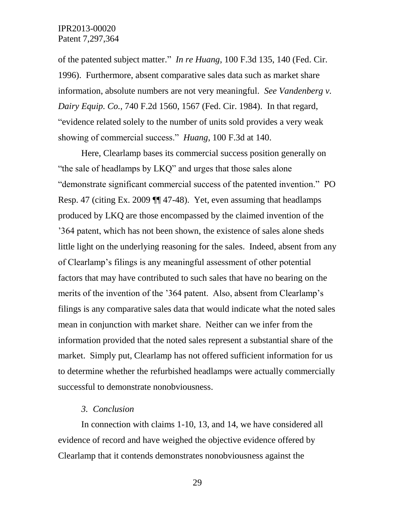of the patented subject matter." *In re Huang*, 100 F.3d 135, 140 (Fed. Cir. 1996). Furthermore, absent comparative sales data such as market share information, absolute numbers are not very meaningful. *See Vandenberg v. Dairy Equip. Co.*, 740 F.2d 1560, 1567 (Fed. Cir. 1984). In that regard, "evidence related solely to the number of units sold provides a very weak showing of commercial success." *Huang*, 100 F.3d at 140.

Here, Clearlamp bases its commercial success position generally on "the sale of headlamps by LKQ" and urges that those sales alone "demonstrate significant commercial success of the patented invention." PO Resp. 47 (citing Ex. 2009 ¶¶ 47-48). Yet, even assuming that headlamps produced by LKQ are those encompassed by the claimed invention of the "364 patent, which has not been shown, the existence of sales alone sheds little light on the underlying reasoning for the sales. Indeed, absent from any of Clearlamp"s filings is any meaningful assessment of other potential factors that may have contributed to such sales that have no bearing on the merits of the invention of the '364 patent. Also, absent from Clearlamp's filings is any comparative sales data that would indicate what the noted sales mean in conjunction with market share. Neither can we infer from the information provided that the noted sales represent a substantial share of the market. Simply put, Clearlamp has not offered sufficient information for us to determine whether the refurbished headlamps were actually commercially successful to demonstrate nonobviousness.

#### *3. Conclusion*

In connection with claims 1-10, 13, and 14, we have considered all evidence of record and have weighed the objective evidence offered by Clearlamp that it contends demonstrates nonobviousness against the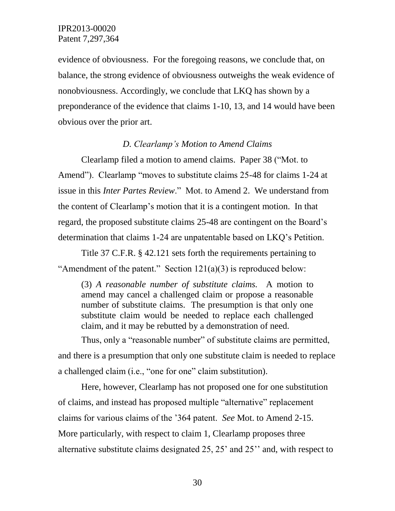evidence of obviousness. For the foregoing reasons, we conclude that, on balance, the strong evidence of obviousness outweighs the weak evidence of nonobviousness. Accordingly, we conclude that LKQ has shown by a preponderance of the evidence that claims 1-10, 13, and 14 would have been obvious over the prior art.

#### *D. Clearlamp's Motion to Amend Claims*

Clearlamp filed a motion to amend claims. Paper 38 ("Mot. to Amend"). Clearlamp "moves to substitute claims 25-48 for claims 1-24 at issue in this *Inter Partes Review*." Mot. to Amend 2. We understand from the content of Clearlamp"s motion that it is a contingent motion. In that regard, the proposed substitute claims 25-48 are contingent on the Board"s determination that claims 1-24 are unpatentable based on LKQ"s Petition.

Title 37 C.F.R. § 42.121 sets forth the requirements pertaining to "Amendment of the patent." Section  $121(a)(3)$  is reproduced below:

(3) *A reasonable number of substitute claims.* A motion to amend may cancel a challenged claim or propose a reasonable number of substitute claims. The presumption is that only one substitute claim would be needed to replace each challenged claim, and it may be rebutted by a demonstration of need.

Thus, only a "reasonable number" of substitute claims are permitted, and there is a presumption that only one substitute claim is needed to replace a challenged claim (i.e., "one for one" claim substitution).

Here, however, Clearlamp has not proposed one for one substitution of claims, and instead has proposed multiple "alternative" replacement claims for various claims of the "364 patent. *See* Mot. to Amend 2-15. More particularly, with respect to claim 1, Clearlamp proposes three alternative substitute claims designated 25, 25" and 25"" and, with respect to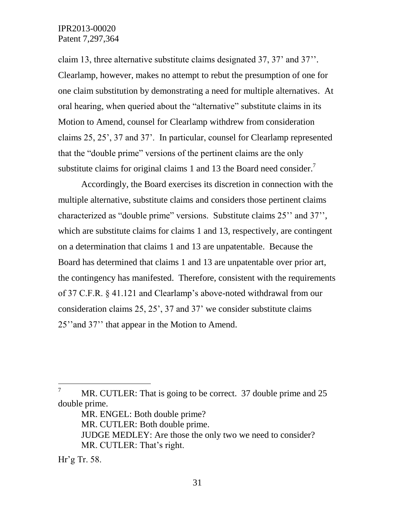claim 13, three alternative substitute claims designated 37, 37" and 37"". Clearlamp, however, makes no attempt to rebut the presumption of one for one claim substitution by demonstrating a need for multiple alternatives. At oral hearing, when queried about the "alternative" substitute claims in its Motion to Amend, counsel for Clearlamp withdrew from consideration claims 25, 25", 37 and 37". In particular, counsel for Clearlamp represented that the "double prime" versions of the pertinent claims are the only substitute claims for original claims 1 and 13 the Board need consider.<sup>7</sup>

Accordingly, the Board exercises its discretion in connection with the multiple alternative, substitute claims and considers those pertinent claims characterized as "double prime" versions. Substitute claims 25" and 37", which are substitute claims for claims 1 and 13, respectively, are contingent on a determination that claims 1 and 13 are unpatentable. Because the Board has determined that claims 1 and 13 are unpatentable over prior art, the contingency has manifested. Therefore, consistent with the requirements of 37 C.F.R. § 41.121 and Clearlamp"s above-noted withdrawal from our consideration claims 25, 25", 37 and 37" we consider substitute claims 25" and 37" that appear in the Motion to Amend.

 $\overline{7}$ MR. CUTLER: That is going to be correct. 37 double prime and 25 double prime.

MR. ENGEL: Both double prime?

MR. CUTLER: Both double prime.

JUDGE MEDLEY: Are those the only two we need to consider? MR. CUTLER: That's right.

 $Hr$ <sup>2</sup>g Tr. 58.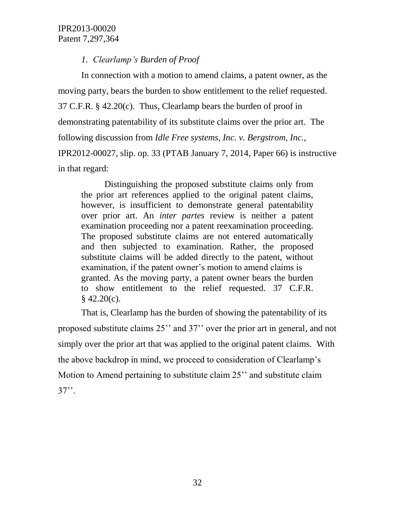# *1. Clearlamp's Burden of Proof*

In connection with a motion to amend claims, a patent owner, as the moving party, bears the burden to show entitlement to the relief requested. 37 C.F.R. § 42.20(c). Thus, Clearlamp bears the burden of proof in demonstrating patentability of its substitute claims over the prior art. The following discussion from *Idle Free systems, Inc. v. Bergstrom, Inc.*, IPR2012-00027, slip. op. 33 (PTAB January 7, 2014, Paper 66) is instructive in that regard:

Distinguishing the proposed substitute claims only from the prior art references applied to the original patent claims, however, is insufficient to demonstrate general patentability over prior art. An *inter partes* review is neither a patent examination proceeding nor a patent reexamination proceeding. The proposed substitute claims are not entered automatically and then subjected to examination. Rather, the proposed substitute claims will be added directly to the patent, without examination, if the patent owner's motion to amend claims is granted. As the moving party, a patent owner bears the burden to show entitlement to the relief requested. 37 C.F.R.  $§$  42.20(c).

That is, Clearlamp has the burden of showing the patentability of its proposed substitute claims 25"" and 37"" over the prior art in general, and not simply over the prior art that was applied to the original patent claims. With the above backdrop in mind, we proceed to consideration of Clearlamp"s Motion to Amend pertaining to substitute claim 25<sup>"</sup> and substitute claim  $37$ ".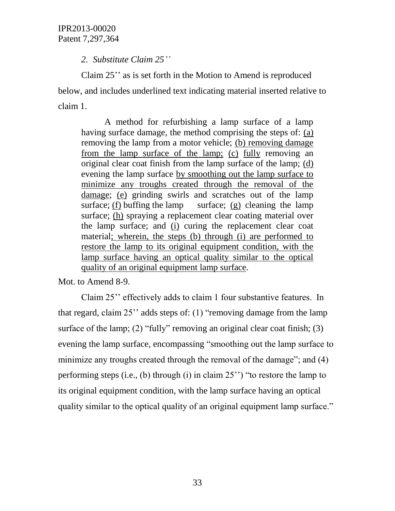*2. Substitute Claim 25''*

Claim 25" as is set forth in the Motion to Amend is reproduced below, and includes underlined text indicating material inserted relative to claim 1.

A method for refurbishing a lamp surface of a lamp having surface damage, the method comprising the steps of: (a) removing the lamp from a motor vehicle; (b) removing damage from the lamp surface of the lamp; (c) fully removing an original clear coat finish from the lamp surface of the lamp; (d) evening the lamp surface by smoothing out the lamp surface to minimize any troughs created through the removal of the damage; (e) grinding swirls and scratches out of the lamp surface; (f) buffing the lamp surface; (g) cleaning the lamp surface; (h) spraying a replacement clear coating material over the lamp surface; and (i) curing the replacement clear coat material; wherein, the steps (b) through (i) are performed to restore the lamp to its original equipment condition, with the lamp surface having an optical quality similar to the optical quality of an original equipment lamp surface.

Mot. to Amend 8-9.

Claim 25" effectively adds to claim 1 four substantive features. In that regard, claim  $25$ " adds steps of: (1) "removing damage from the lamp surface of the lamp; (2) "fully" removing an original clear coat finish; (3) evening the lamp surface, encompassing "smoothing out the lamp surface to minimize any troughs created through the removal of the damage"; and (4) performing steps (i.e., (b) through (i) in claim  $25$ ") "to restore the lamp to its original equipment condition, with the lamp surface having an optical quality similar to the optical quality of an original equipment lamp surface."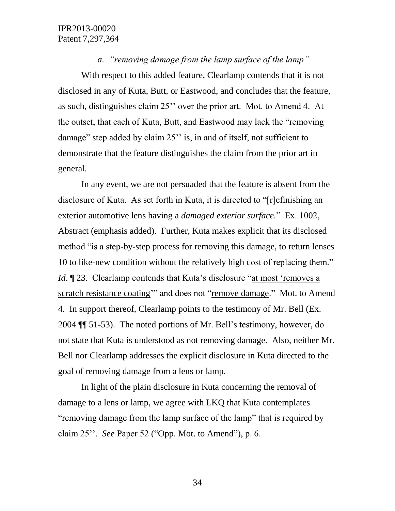*a. "removing damage from the lamp surface of the lamp"*

With respect to this added feature, Clearlamp contends that it is not disclosed in any of Kuta, Butt, or Eastwood, and concludes that the feature, as such, distinguishes claim 25"" over the prior art. Mot. to Amend 4. At the outset, that each of Kuta, Butt, and Eastwood may lack the "removing damage" step added by claim 25" is, in and of itself, not sufficient to demonstrate that the feature distinguishes the claim from the prior art in general.

In any event, we are not persuaded that the feature is absent from the disclosure of Kuta. As set forth in Kuta, it is directed to "[r]efinishing an exterior automotive lens having a *damaged exterior surface.*" Ex. 1002, Abstract (emphasis added). Further, Kuta makes explicit that its disclosed method "is a step-by-step process for removing this damage, to return lenses 10 to like-new condition without the relatively high cost of replacing them." *Id*. ¶ 23. Clearlamp contends that Kuta's disclosure "at most 'removes a scratch resistance coating" and does not "remove damage." Mot. to Amend 4. In support thereof, Clearlamp points to the testimony of Mr. Bell (Ex. 2004 ¶¶ 51-53). The noted portions of Mr. Bell"s testimony, however, do not state that Kuta is understood as not removing damage. Also, neither Mr. Bell nor Clearlamp addresses the explicit disclosure in Kuta directed to the goal of removing damage from a lens or lamp.

In light of the plain disclosure in Kuta concerning the removal of damage to a lens or lamp, we agree with LKQ that Kuta contemplates "removing damage from the lamp surface of the lamp" that is required by claim 25"". *See* Paper 52 ("Opp. Mot. to Amend"), p. 6.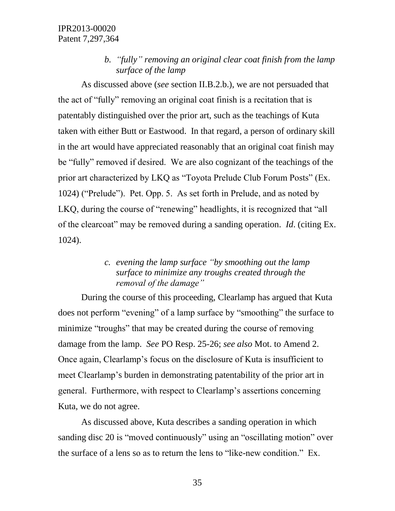*b. "fully" removing an original clear coat finish from the lamp surface of the lamp*

As discussed above (*see* section II.B.2.b.), we are not persuaded that the act of "fully" removing an original coat finish is a recitation that is patentably distinguished over the prior art, such as the teachings of Kuta taken with either Butt or Eastwood. In that regard, a person of ordinary skill in the art would have appreciated reasonably that an original coat finish may be "fully" removed if desired. We are also cognizant of the teachings of the prior art characterized by LKQ as "Toyota Prelude Club Forum Posts" (Ex. 1024) ("Prelude"). Pet. Opp. 5. As set forth in Prelude, and as noted by LKQ, during the course of "renewing" headlights, it is recognized that "all of the clearcoat" may be removed during a sanding operation. *Id*. (citing Ex. 1024).

# *c. evening the lamp surface "by smoothing out the lamp surface to minimize any troughs created through the removal of the damage"*

During the course of this proceeding, Clearlamp has argued that Kuta does not perform "evening" of a lamp surface by "smoothing" the surface to minimize "troughs" that may be created during the course of removing damage from the lamp. *See* PO Resp. 25-26; *see also* Mot. to Amend 2. Once again, Clearlamp"s focus on the disclosure of Kuta is insufficient to meet Clearlamp"s burden in demonstrating patentability of the prior art in general. Furthermore, with respect to Clearlamp"s assertions concerning Kuta, we do not agree.

As discussed above, Kuta describes a sanding operation in which sanding disc 20 is "moved continuously" using an "oscillating motion" over the surface of a lens so as to return the lens to "like-new condition." Ex.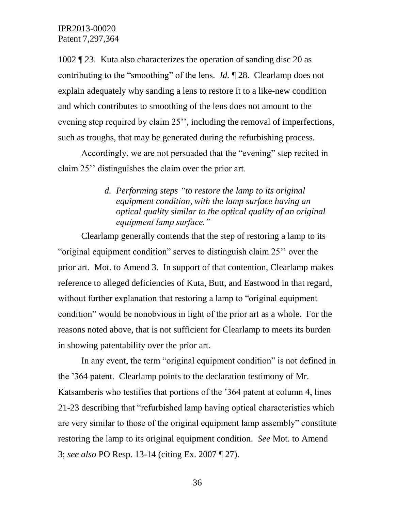1002 ¶ 23. Kuta also characterizes the operation of sanding disc 20 as contributing to the "smoothing" of the lens. *Id.* ¶ 28. Clearlamp does not explain adequately why sanding a lens to restore it to a like-new condition and which contributes to smoothing of the lens does not amount to the evening step required by claim 25", including the removal of imperfections, such as troughs, that may be generated during the refurbishing process.

Accordingly, we are not persuaded that the "evening" step recited in claim 25"" distinguishes the claim over the prior art.

# *d. Performing steps "to restore the lamp to its original equipment condition, with the lamp surface having an optical quality similar to the optical quality of an original equipment lamp surface."*

Clearlamp generally contends that the step of restoring a lamp to its "original equipment condition" serves to distinguish claim 25"" over the prior art. Mot. to Amend 3. In support of that contention, Clearlamp makes reference to alleged deficiencies of Kuta, Butt, and Eastwood in that regard, without further explanation that restoring a lamp to "original equipment condition" would be nonobvious in light of the prior art as a whole. For the reasons noted above, that is not sufficient for Clearlamp to meets its burden in showing patentability over the prior art.

In any event, the term "original equipment condition" is not defined in the "364 patent. Clearlamp points to the declaration testimony of Mr. Katsamberis who testifies that portions of the "364 patent at column 4, lines 21-23 describing that "refurbished lamp having optical characteristics which are very similar to those of the original equipment lamp assembly" constitute restoring the lamp to its original equipment condition. *See* Mot. to Amend 3; *see also* PO Resp. 13-14 (citing Ex. 2007 ¶ 27).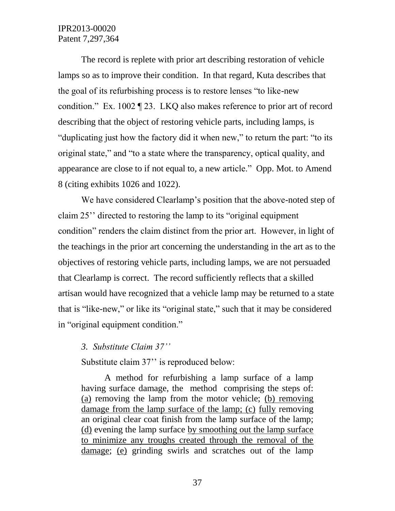The record is replete with prior art describing restoration of vehicle lamps so as to improve their condition. In that regard, Kuta describes that the goal of its refurbishing process is to restore lenses "to like-new condition." Ex. 1002 ¶ 23. LKQ also makes reference to prior art of record describing that the object of restoring vehicle parts, including lamps, is "duplicating just how the factory did it when new," to return the part: "to its original state," and "to a state where the transparency, optical quality, and appearance are close to if not equal to, a new article." Opp. Mot. to Amend 8 (citing exhibits 1026 and 1022).

We have considered Clearlamp's position that the above-noted step of claim 25"" directed to restoring the lamp to its "original equipment condition" renders the claim distinct from the prior art. However, in light of the teachings in the prior art concerning the understanding in the art as to the objectives of restoring vehicle parts, including lamps, we are not persuaded that Clearlamp is correct. The record sufficiently reflects that a skilled artisan would have recognized that a vehicle lamp may be returned to a state that is "like-new," or like its "original state," such that it may be considered in "original equipment condition."

## *3. Substitute Claim 37''*

Substitute claim 37" is reproduced below:

A method for refurbishing a lamp surface of a lamp having surface damage, the method comprising the steps of: (a) removing the lamp from the motor vehicle; (b) removing damage from the lamp surface of the lamp; (c) fully removing an original clear coat finish from the lamp surface of the lamp; (d) evening the lamp surface by smoothing out the lamp surface to minimize any troughs created through the removal of the damage; (e) grinding swirls and scratches out of the lamp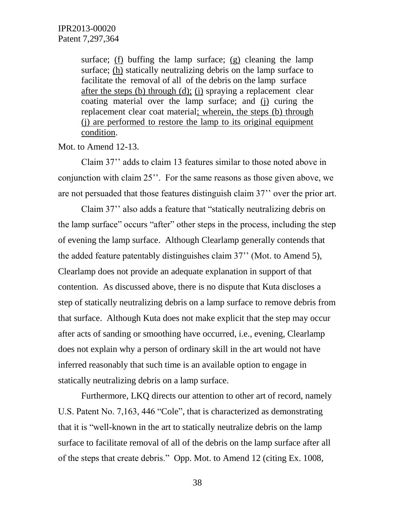surface; (f) buffing the lamp surface; (g) cleaning the lamp surface; (h) statically neutralizing debris on the lamp surface to facilitate the removal of all of the debris on the lamp surface after the steps (b) through (d); (i) spraying a replacement clear coating material over the lamp surface; and (j) curing the replacement clear coat material; wherein, the steps (b) through (j) are performed to restore the lamp to its original equipment condition.

Mot. to Amend 12-13.

Claim 37"" adds to claim 13 features similar to those noted above in conjunction with claim 25". For the same reasons as those given above, we are not persuaded that those features distinguish claim 37"" over the prior art.

Claim 37"" also adds a feature that "statically neutralizing debris on the lamp surface" occurs "after" other steps in the process, including the step of evening the lamp surface. Although Clearlamp generally contends that the added feature patentably distinguishes claim 37"" (Mot. to Amend 5), Clearlamp does not provide an adequate explanation in support of that contention. As discussed above, there is no dispute that Kuta discloses a step of statically neutralizing debris on a lamp surface to remove debris from that surface. Although Kuta does not make explicit that the step may occur after acts of sanding or smoothing have occurred, i.e., evening, Clearlamp does not explain why a person of ordinary skill in the art would not have inferred reasonably that such time is an available option to engage in statically neutralizing debris on a lamp surface.

Furthermore, LKQ directs our attention to other art of record, namely U.S. Patent No. 7,163, 446 "Cole", that is characterized as demonstrating that it is "well-known in the art to statically neutralize debris on the lamp surface to facilitate removal of all of the debris on the lamp surface after all of the steps that create debris." Opp. Mot. to Amend 12 (citing Ex. 1008,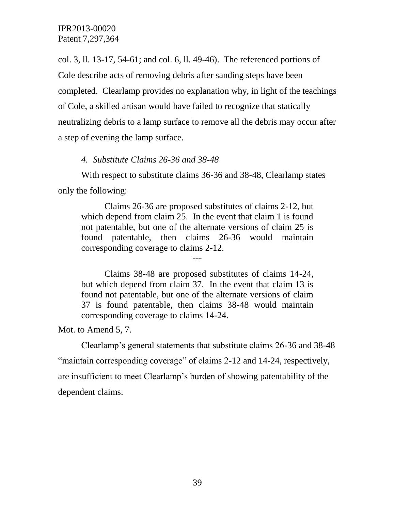col. 3, ll. 13-17, 54-61; and col. 6, ll. 49-46). The referenced portions of Cole describe acts of removing debris after sanding steps have been completed. Clearlamp provides no explanation why, in light of the teachings of Cole, a skilled artisan would have failed to recognize that statically neutralizing debris to a lamp surface to remove all the debris may occur after a step of evening the lamp surface.

*4. Substitute Claims 26-36 and 38-48*

With respect to substitute claims 36-36 and 38-48, Clearlamp states only the following:

Claims 26-36 are proposed substitutes of claims 2-12, but which depend from claim 25. In the event that claim 1 is found not patentable, but one of the alternate versions of claim 25 is found patentable, then claims 26-36 would maintain corresponding coverage to claims 2-12.

---

Claims 38-48 are proposed substitutes of claims 14-24, but which depend from claim 37. In the event that claim 13 is found not patentable, but one of the alternate versions of claim 37 is found patentable, then claims 38-48 would maintain corresponding coverage to claims 14-24.

Mot. to Amend 5, 7.

Clearlamp"s general statements that substitute claims 26-36 and 38-48 "maintain corresponding coverage" of claims 2-12 and 14-24, respectively, are insufficient to meet Clearlamp"s burden of showing patentability of the dependent claims.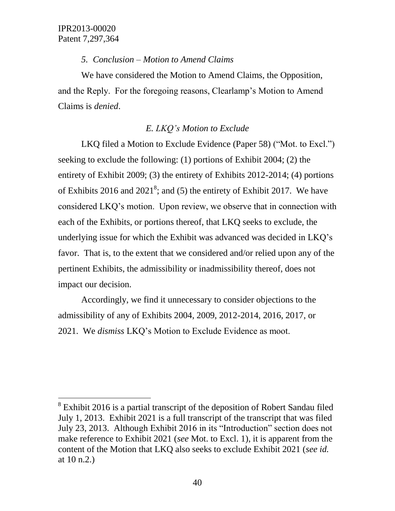l

### *5. Conclusion – Motion to Amend Claims*

We have considered the Motion to Amend Claims, the Opposition, and the Reply. For the foregoing reasons, Clearlamp"s Motion to Amend Claims is *denied*.

# *E. LKQ's Motion to Exclude*

LKQ filed a Motion to Exclude Evidence (Paper 58) ("Mot. to Excl.") seeking to exclude the following: (1) portions of Exhibit 2004; (2) the entirety of Exhibit 2009; (3) the entirety of Exhibits 2012-2014; (4) portions of Exhibits 2016 and 2021<sup>8</sup>; and (5) the entirety of Exhibit 2017. We have considered LKQ"s motion. Upon review, we observe that in connection with each of the Exhibits, or portions thereof, that LKQ seeks to exclude, the underlying issue for which the Exhibit was advanced was decided in LKQ"s favor. That is, to the extent that we considered and/or relied upon any of the pertinent Exhibits, the admissibility or inadmissibility thereof, does not impact our decision.

Accordingly, we find it unnecessary to consider objections to the admissibility of any of Exhibits 2004, 2009, 2012-2014, 2016, 2017, or 2021. We *dismiss* LKQ"s Motion to Exclude Evidence as moot.

 $8$  Exhibit 2016 is a partial transcript of the deposition of Robert Sandau filed July 1, 2013. Exhibit 2021 is a full transcript of the transcript that was filed July 23, 2013. Although Exhibit 2016 in its "Introduction" section does not make reference to Exhibit 2021 (*see* Mot. to Excl. 1), it is apparent from the content of the Motion that LKQ also seeks to exclude Exhibit 2021 (*see id.* at 10 n.2.)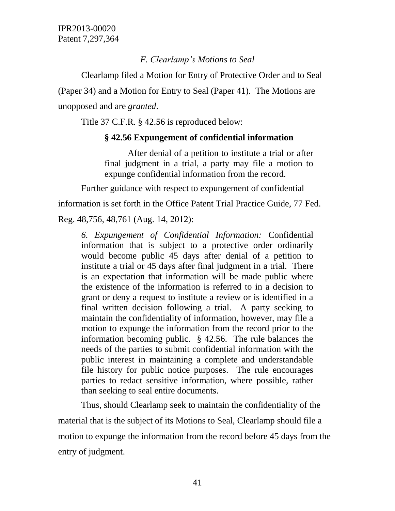# *F. Clearlamp's Motions to Seal*

Clearlamp filed a Motion for Entry of Protective Order and to Seal (Paper 34) and a Motion for Entry to Seal (Paper 41). The Motions are unopposed and are *granted*.

Title 37 C.F.R. § 42.56 is reproduced below:

# **§ 42.56 Expungement of confidential information**

After denial of a petition to institute a trial or after final judgment in a trial, a party may file a motion to expunge confidential information from the record.

Further guidance with respect to expungement of confidential

information is set forth in the Office Patent Trial Practice Guide, 77 Fed.

Reg. 48,756, 48,761 (Aug. 14, 2012):

*6. Expungement of Confidential Information:* Confidential information that is subject to a protective order ordinarily would become public 45 days after denial of a petition to institute a trial or 45 days after final judgment in a trial. There is an expectation that information will be made public where the existence of the information is referred to in a decision to grant or deny a request to institute a review or is identified in a final written decision following a trial. A party seeking to maintain the confidentiality of information, however, may file a motion to expunge the information from the record prior to the information becoming public. § 42.56. The rule balances the needs of the parties to submit confidential information with the public interest in maintaining a complete and understandable file history for public notice purposes. The rule encourages parties to redact sensitive information, where possible, rather than seeking to seal entire documents.

Thus, should Clearlamp seek to maintain the confidentiality of the material that is the subject of its Motions to Seal, Clearlamp should file a motion to expunge the information from the record before 45 days from the entry of judgment.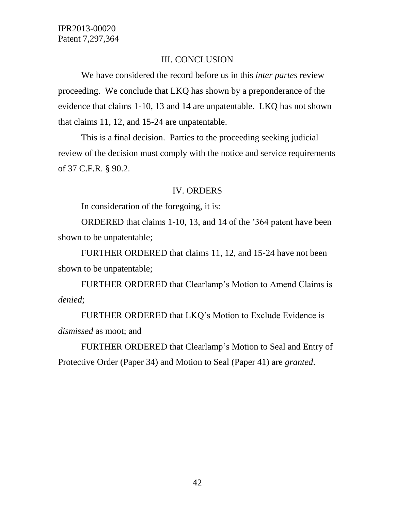# III. CONCLUSION

We have considered the record before us in this *inter partes* review proceeding. We conclude that LKQ has shown by a preponderance of the evidence that claims 1-10, 13 and 14 are unpatentable. LKQ has not shown that claims 11, 12, and 15-24 are unpatentable.

This is a final decision. Parties to the proceeding seeking judicial review of the decision must comply with the notice and service requirements of 37 C.F.R. § 90.2.

### IV. ORDERS

In consideration of the foregoing, it is:

ORDERED that claims 1-10, 13, and 14 of the "364 patent have been shown to be unpatentable;

FURTHER ORDERED that claims 11, 12, and 15-24 have not been shown to be unpatentable;

FURTHER ORDERED that Clearlamp"s Motion to Amend Claims is *denied*;

FURTHER ORDERED that LKQ"s Motion to Exclude Evidence is *dismissed* as moot; and

FURTHER ORDERED that Clearlamp"s Motion to Seal and Entry of Protective Order (Paper 34) and Motion to Seal (Paper 41) are *granted*.